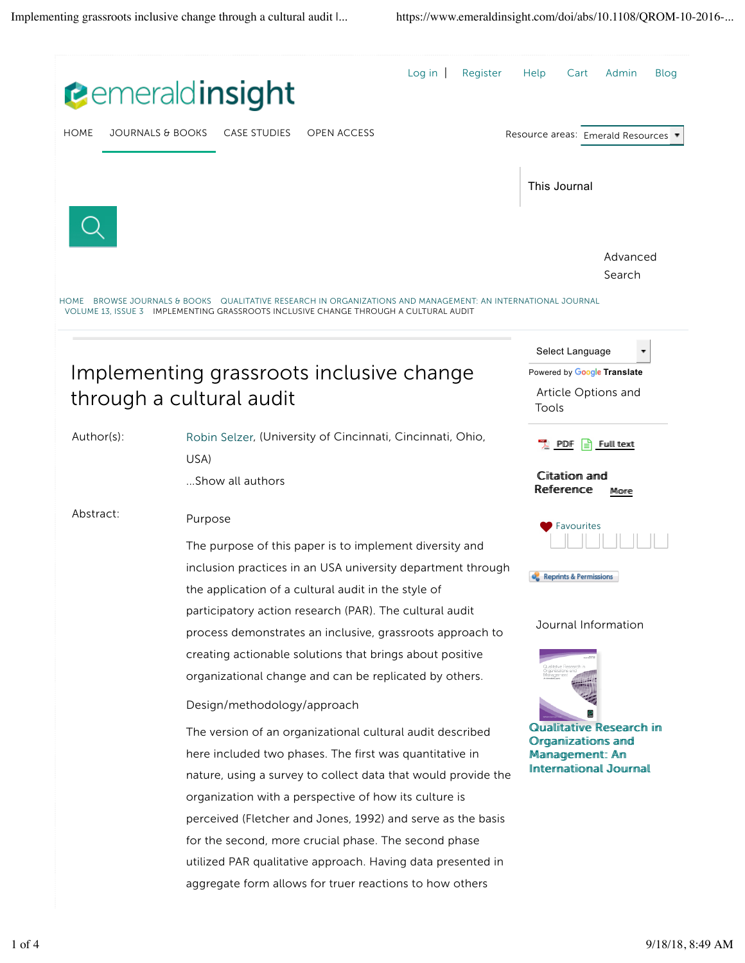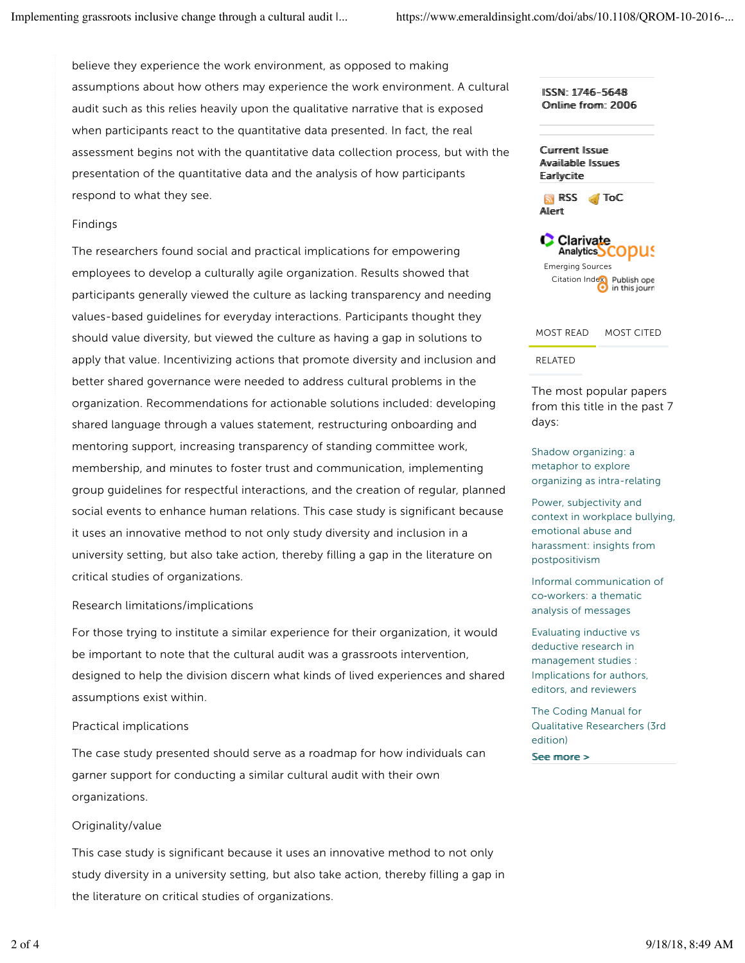believe they experience the work environment, as opposed to making assumptions about how others may experience the work environment. A cultural audit such as this relies heavily upon the qualitative narrative that is exposed when participants react to the quantitative data presented. In fact, the real assessment begins not with the quantitative data collection process, but with the presentation of the quantitative data and the analysis of how participants respond to what they see.

## Findings

The researchers found social and practical implications for empowering employees to develop a culturally agile organization. Results showed that participants generally viewed the culture as lacking transparency and needing values-based guidelines for everyday interactions. Participants thought they should value diversity, but viewed the culture as having a gap in solutions to apply that value. Incentivizing actions that promote diversity and inclusion and better shared governance were needed to address cultural problems in the organization. Recommendations for actionable solutions included: developing shared language through a values statement, restructuring onboarding and mentoring support, increasing transparency of standing committee work, membership, and minutes to foster trust and communication, implementing group guidelines for respectful interactions, and the creation of regular, planned social events to enhance human relations. This case study is significant because it uses an innovative method to not only study diversity and inclusion in a university setting, but also take action, thereby filling a gap in the literature on critical studies of organizations.

## Research limitations/implications

For those trying to institute a similar experience for their organization, it would be important to note that the cultural audit was a grassroots intervention, designed to help the division discern what kinds of lived experiences and shared assumptions exist within.

## Practical implications

The case study presented should serve as a roadmap for how individuals can garner support for conducting a similar cultural audit with their own organizations.

## Originality/value

This case study is significant because it uses an innovative method to not only study diversity in a university setting, but also take action, thereby filling a gap in the literature on critical studies of organizations.

ISSN: 1746-5648 Onlline from: 2006

Currrent Issue Avaiilable Issues Earllycitte

RSS Toc Allertt





## RELATED

The most popular papers from this title in the past 7 days:

Shadow organizing: a metaphor to explore organizing as intra-relating

Power, subjectivity and context in workplace bullying, emotional abuse and harassment: insights from postpositivism

Informal communication of co‐workers: a thematic analysis of messages

Evaluating inductive vs deductive research in management studies : Implications for authors, editors, and reviewers

The Coding Manual for Qualitative Researchers (3rd edition)

See more >